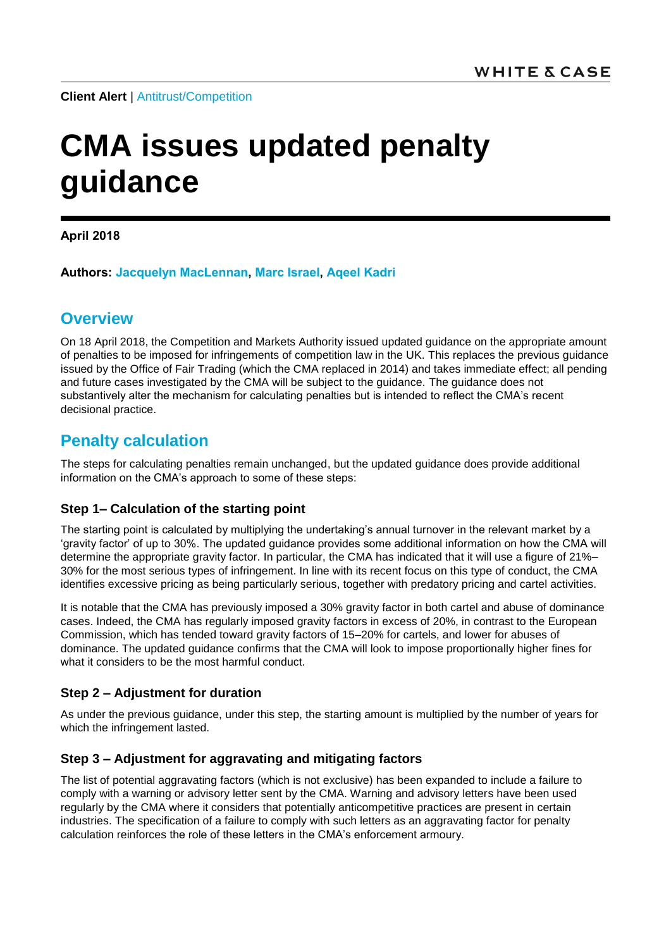**Client Alert** | [Antitrust/Competition](https://www.whitecase.com/law/practices/antitrust-competition)

# **CMA issues updated penalty guidance**

**April 2018**

**Authors: [Jacquelyn MacLennan,](https://www.whitecase.com/people/jacquelyn-maclennan) [Marc Israel,](https://www.whitecase.com/people/marc-israel) [Aqeel Kadri](https://www.whitecase.com/people/aqeel-kadri)**

## **Overview**

On 18 April 2018, the Competition and Markets Authority issued updated guidance on the appropriate amount of penalties to be imposed for infringements of competition law in the UK. This replaces the previous guidance issued by the Office of Fair Trading (which the CMA replaced in 2014) and takes immediate effect; all pending and future cases investigated by the CMA will be subject to the guidance. The guidance does not substantively alter the mechanism for calculating penalties but is intended to reflect the CMA's recent decisional practice.

## **Penalty calculation**

The steps for calculating penalties remain unchanged, but the updated guidance does provide additional information on the CMA's approach to some of these steps:

#### **Step 1– Calculation of the starting point**

The starting point is calculated by multiplying the undertaking's annual turnover in the relevant market by a 'gravity factor' of up to 30%. The updated guidance provides some additional information on how the CMA will determine the appropriate gravity factor. In particular, the CMA has indicated that it will use a figure of 21%– 30% for the most serious types of infringement. In line with its recent focus on this type of conduct, the CMA identifies excessive pricing as being particularly serious, together with predatory pricing and cartel activities.

It is notable that the CMA has previously imposed a 30% gravity factor in both cartel and abuse of dominance cases. Indeed, the CMA has regularly imposed gravity factors in excess of 20%, in contrast to the European Commission, which has tended toward gravity factors of 15–20% for cartels, and lower for abuses of dominance. The updated guidance confirms that the CMA will look to impose proportionally higher fines for what it considers to be the most harmful conduct.

#### **Step 2 – Adjustment for duration**

As under the previous guidance, under this step, the starting amount is multiplied by the number of years for which the infringement lasted.

#### **Step 3 – Adjustment for aggravating and mitigating factors**

The list of potential aggravating factors (which is not exclusive) has been expanded to include a failure to comply with a warning or advisory letter sent by the CMA. Warning and advisory letters have been used regularly by the CMA where it considers that potentially anticompetitive practices are present in certain industries. The specification of a failure to comply with such letters as an aggravating factor for penalty calculation reinforces the role of these letters in the CMA's enforcement armoury.